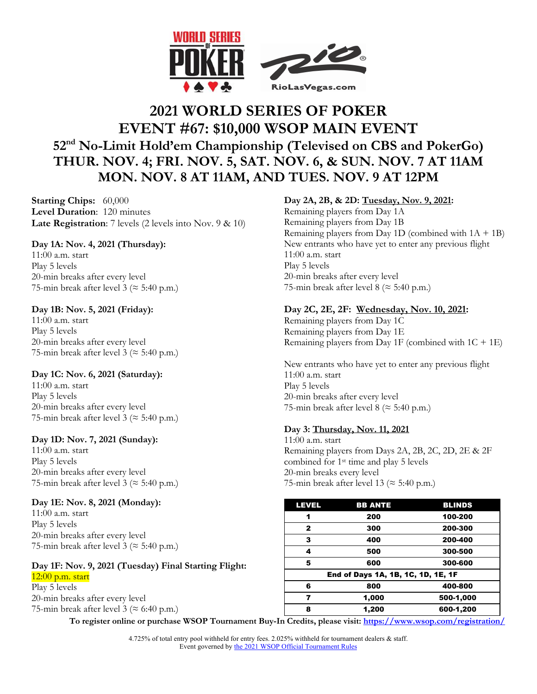

# **2021 WORLD SERIES OF POKER EVENT #67: \$10,000 WSOP MAIN EVENT 52nd No-Limit Hold'em Championship (Televised on CBS and PokerGo) THUR. NOV. 4; FRI. NOV. 5, SAT. NOV. 6, & SUN. NOV. 7 AT 11AM MON. NOV. 8 AT 11AM, AND TUES. NOV. 9 AT 12PM**

**Starting Chips:** 60,000 **Level Duration**: 120 minutes **Late Registration**: 7 levels (2 levels into Nov. 9 & 10)

# **Day 1A: Nov. 4, 2021 (Thursday):**

11:00 a.m. start Play 5 levels 20-min breaks after every level 75-min break after level 3 ( $\approx$  5:40 p.m.)

# **Day 1B: Nov. 5, 2021 (Friday):**

11:00 a.m. start Play 5 levels 20-min breaks after every level 75-min break after level 3 ( $\approx$  5:40 p.m.)

# **Day 1C: Nov. 6, 2021 (Saturday):**

11:00 a.m. start Play 5 levels 20-min breaks after every level 75-min break after level 3 ( $\approx$  5:40 p.m.)

# **Day 1D: Nov. 7, 2021 (Sunday):**

11:00 a.m. start Play 5 levels 20-min breaks after every level 75-min break after level 3 ( $\approx$  5:40 p.m.)

# **Day 1E: Nov. 8, 2021 (Monday):**

11:00 a.m. start Play 5 levels 20-min breaks after every level 75-min break after level 3 ( $\approx$  5:40 p.m.)

# **Day 1F: Nov. 9, 2021 (Tuesday) Final Starting Flight:**

12:00 p.m. start Play 5 levels 20-min breaks after every level 75-min break after level 3 ( $\approx$  6:40 p.m.)

# **Day 2A, 2B, & 2D: Tuesday, Nov. 9, 2021:**

Remaining players from Day 1A Remaining players from Day 1B Remaining players from Day 1D (combined with  $1A + 1B$ ) New entrants who have yet to enter any previous flight 11:00 a.m. start Play 5 levels 20-min breaks after every level 75-min break after level 8 ( $\approx$  5:40 p.m.)

# **Day 2C, 2E, 2F: Wednesday, Nov. 10, 2021:**

Remaining players from Day 1C Remaining players from Day 1E Remaining players from Day 1F (combined with  $1C + 1E$ )

New entrants who have yet to enter any previous flight 11:00 a.m. start Play 5 levels 20-min breaks after every level 75-min break after level 8 ( $\approx$  5:40 p.m.)

# **Day 3: Thursday, Nov. 11, 2021**

11:00 a.m. start Remaining players from Days 2A, 2B, 2C, 2D, 2E & 2F combined for 1st time and play 5 levels 20-min breaks every level 75-min break after level 13 ( $\approx$  5:40 p.m.)

| <b>LEVEL</b>                       | <b>BB ANTE</b> | <b>BLINDS</b> |  |  |
|------------------------------------|----------------|---------------|--|--|
| 1                                  | 200            | 100-200       |  |  |
| 2                                  | 300            | 200-300       |  |  |
| 3                                  | 400            | 200-400       |  |  |
| 4                                  | 500            | 300-500       |  |  |
| 5                                  | 600            | 300-600       |  |  |
| End of Days 1A, 1B, 1C, 1D, 1E, 1F |                |               |  |  |
| 6                                  | 800            | 400-800       |  |  |
| 7                                  | 1,000          | 500-1,000     |  |  |
| 8                                  | 1,200          | 600-1,200     |  |  |

**To register online or purchase WSOP Tournament Buy-In Credits, please visit: https://www.wsop.com/registration/**

4.725% of total entry pool withheld for entry fees. 2.025% withheld for tournament dealers & staff. Event governed by the 2021 WSOP Official Tournament Rules